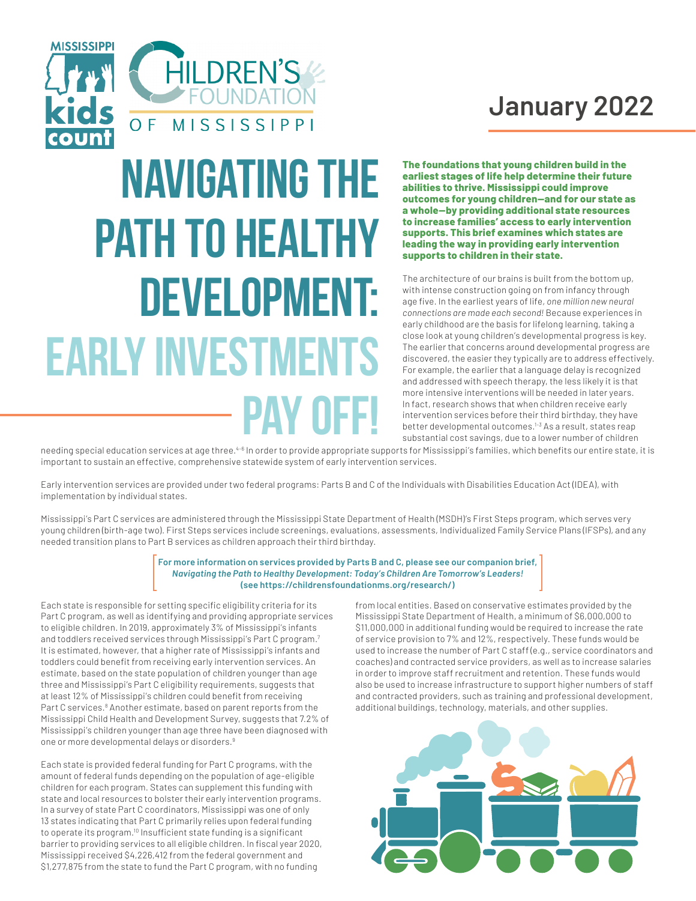

# **January 2022**

# **navigating the path to healthy development: EARLY INVESTMENT pay off!**

**The foundations that young children build in the earliest stages of life help determine their future abilities to thrive. Mississippi could improve**  outcomes for young children-and for our state as **a whole--by providing additional state resources to increase families' access to early intervention supports. This brief examines which states are leading the way in providing early intervention supports to children in their state.**

The architecture of our brains is built from the bottom up, with intense construction going on from infancy through age five. In the earliest years of life, *one million new neural connections are made each second!* Because experiences in early childhood are the basis for lifelong learning, taking a close look at young children's developmental progress is key. The earlier that concerns around developmental progress are discovered, the easier they typically are to address effectively. For example, the earlier that a language delay is recognized and addressed with speech therapy, the less likely it is that more intensive interventions will be needed in later years. In fact, research shows that when children receive early intervention services before their third birthday, they have better developmental outcomes.<sup>1-3</sup> As a result, states reap substantial cost savings, due to a lower number of children

needing special education services at age three.<sup>4-6</sup> In order to provide appropriate supports for Mississippi's families, which benefits our entire state, it is important to sustain an effective, comprehensive statewide system of early intervention services.

Early intervention services are provided under two federal programs: Parts B and C of the Individuals with Disabilities Education Act (IDEA), with implementation by individual states.

Mississippi's Part C services are administered through the Mississippi State Department of Health (MSDH)'s First Steps program, which serves very young children (birth-age two). First Steps services include screenings, evaluations, assessments, Individualized Family Service Plans (IFSPs), and any needed transition plans to Part B services as children approach their third birthday.

#### **For more information on services provided by Parts B and C, please see our companion brief,**  *Navigating the Path to Healthy Development: Today's Children Are Tomorrow's Leaders!* **(see https://childrensfoundationms.org/research/)**

Each state is responsible for setting specific eligibility criteria for its Part C program, as well as identifying and providing appropriate services to eligible children. In 2019, approximately 3% of Mississippi's infants and toddlers received services through Mississippi's Part C program.7 It is estimated, however, that a higher rate of Mississippi's infants and toddlers could benefit from receiving early intervention services. An estimate, based on the state population of children younger than age three and Mississippi's Part C eligibility requirements, suggests that at least 12% of Mississippi's children could benefit from receiving Part C services.<sup>8</sup> Another estimate, based on parent reports from the Mississippi Child Health and Development Survey, suggests that 7.2% of Mississippi's children younger than age three have been diagnosed with one or more developmental delays or disorders.9

Each state is provided federal funding for Part C programs, with the amount of federal funds depending on the population of age-eligible children for each program. States can supplement this funding with state and local resources to bolster their early intervention programs. In a survey of state Part C coordinators, Mississippi was one of only 13 states indicating that Part C primarily relies upon federal funding to operate its program.10 Insufficient state funding is a significant barrier to providing services to all eligible children. In fiscal year 2020, Mississippi received \$4,226,412 from the federal government and \$1,277,875 from the state to fund the Part C program, with no funding

from local entities. Based on conservative estimates provided by the Mississippi State Department of Health, a minimum of \$6,000,000 to \$11,000,000 in additional funding would be required to increase the rate of service provision to 7% and 12%, respectively. These funds would be used to increase the number of Part C staff (e.g., service coordinators and coaches) and contracted service providers, as well as to increase salaries in order to improve staff recruitment and retention. These funds would also be used to increase infrastructure to support higher numbers of staff and contracted providers, such as training and professional development, additional buildings, technology, materials, and other supplies.

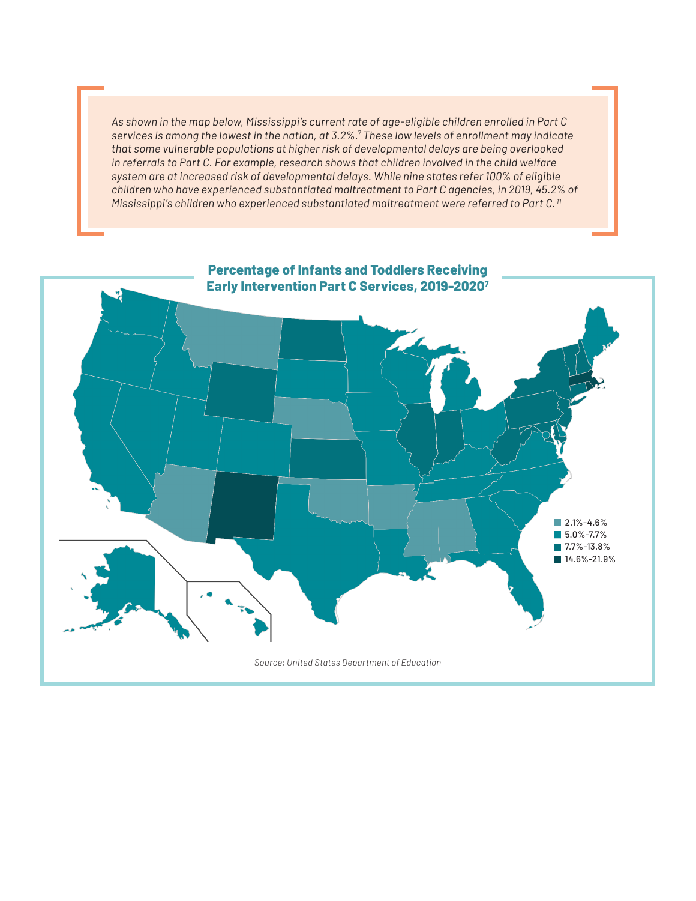*As shown in the map below, Mississippi's current rate of age-eligible children enrolled in Part C services is among the lowest in the nation, at 3.2%.7 These low levels of enrollment may indicate that some vulnerable populations at higher risk of developmental delays are being overlooked in referrals to Part C. For example, research shows that children involved in the child welfare system are at increased risk of developmental delays. While nine states refer 100% of eligible children who have experienced substantiated maltreatment to Part C agencies, in 2019, 45.2% of Mississippi's children who experienced substantiated maltreatment were referred to Part C. 11*

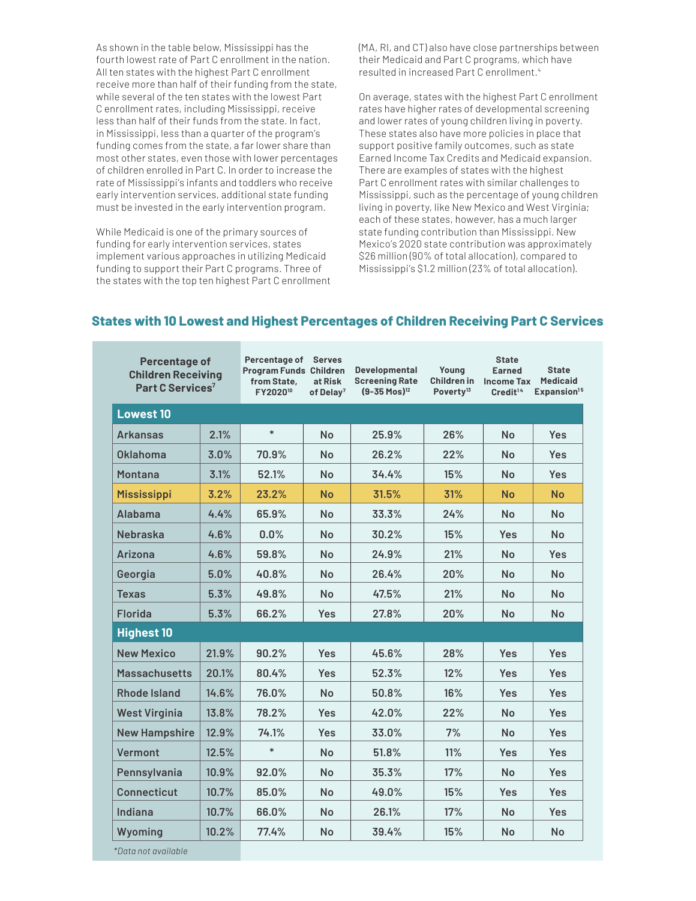As shown in the table below, Mississippi has the fourth lowest rate of Part C enrollment in the nation. All ten states with the highest Part C enrollment receive more than half of their funding from the state, while several of the ten states with the lowest Part C enrollment rates, including Mississippi, receive less than half of their funds from the state. In fact, in Mississippi, less than a quarter of the program's funding comes from the state, a far lower share than most other states, even those with lower percentages of children enrolled in Part C. In order to increase the rate of Mississippi's infants and toddlers who receive early intervention services, additional state funding must be invested in the early intervention program.

While Medicaid is one of the primary sources of funding for early intervention services, states implement various approaches in utilizing Medicaid funding to support their Part C programs. Three of the states with the top ten highest Part C enrollment (MA, RI, and CT) also have close partnerships between their Medicaid and Part C programs, which have resulted in increased Part C enrollment.4

On average, states with the highest Part C enrollment rates have higher rates of developmental screening and lower rates of young children living in poverty. These states also have more policies in place that support positive family outcomes, such as state Earned Income Tax Credits and Medicaid expansion. There are examples of states with the highest Part C enrollment rates with similar challenges to Mississippi, such as the percentage of young children living in poverty, like New Mexico and West Virginia; each of these states, however, has a much larger state funding contribution than Mississippi. New Mexico's 2020 state contribution was approximately \$26 million (90% of total allocation), compared to Mississippi's \$1.2 million (23% of total allocation).

| <b>Percentage of</b><br><b>Children Receiving</b><br>Part C Services <sup>7</sup> |       | Percentage of<br><b>Program Funds Children</b><br>from State,<br>FY2020 <sup>10</sup> | <b>Serves</b><br>at Risk<br>of Delay <sup>7</sup> | <b>Developmental</b><br><b>Screening Rate</b><br>$(9-35$ Mos $)^{12}$ | Young<br><b>Children in</b><br>Poverty <sup>13</sup> | <b>State</b><br><b>Earned</b><br><b>Income Tax</b><br>Credit <sup>14</sup> | <b>State</b><br><b>Medicaid</b><br>Expansion <sup>15</sup> |
|-----------------------------------------------------------------------------------|-------|---------------------------------------------------------------------------------------|---------------------------------------------------|-----------------------------------------------------------------------|------------------------------------------------------|----------------------------------------------------------------------------|------------------------------------------------------------|
| <b>Lowest 10</b>                                                                  |       |                                                                                       |                                                   |                                                                       |                                                      |                                                                            |                                                            |
| <b>Arkansas</b>                                                                   | 2.1%  | $\ast$                                                                                | <b>No</b>                                         | 25.9%                                                                 | 26%                                                  | <b>No</b>                                                                  | <b>Yes</b>                                                 |
| Oklahoma                                                                          | 3.0%  | 70.9%                                                                                 | <b>No</b>                                         | 26.2%                                                                 | 22%                                                  | No                                                                         | <b>Yes</b>                                                 |
| <b>Montana</b>                                                                    | 3.1%  | 52.1%                                                                                 | <b>No</b>                                         | 34.4%                                                                 | 15%                                                  | <b>No</b>                                                                  | <b>Yes</b>                                                 |
| <b>Mississippi</b>                                                                | 3.2%  | 23.2%                                                                                 | <b>No</b>                                         | 31.5%                                                                 | 31%                                                  | No                                                                         | <b>No</b>                                                  |
| Alabama                                                                           | 4.4%  | 65.9%                                                                                 | No                                                | 33.3%                                                                 | 24%                                                  | <b>No</b>                                                                  | <b>No</b>                                                  |
| <b>Nebraska</b>                                                                   | 4.6%  | 0.0%                                                                                  | <b>No</b>                                         | 30.2%                                                                 | 15%                                                  | <b>Yes</b>                                                                 | <b>No</b>                                                  |
| <b>Arizona</b>                                                                    | 4.6%  | 59.8%                                                                                 | <b>No</b>                                         | 24.9%                                                                 | 21%                                                  | <b>No</b>                                                                  | <b>Yes</b>                                                 |
| Georgia                                                                           | 5.0%  | 40.8%                                                                                 | <b>No</b>                                         | 26.4%                                                                 | 20%                                                  | No                                                                         | <b>No</b>                                                  |
| <b>Texas</b>                                                                      | 5.3%  | 49.8%                                                                                 | No.                                               | 47.5%                                                                 | 21%                                                  | No                                                                         | No                                                         |
| <b>Florida</b>                                                                    | 5.3%  | 66.2%                                                                                 | <b>Yes</b>                                        | 27.8%                                                                 | 20%                                                  | <b>No</b>                                                                  | <b>No</b>                                                  |
| <b>Highest 10</b>                                                                 |       |                                                                                       |                                                   |                                                                       |                                                      |                                                                            |                                                            |
| <b>New Mexico</b>                                                                 | 21.9% | 90.2%                                                                                 | <b>Yes</b>                                        | 45.6%                                                                 | 28%                                                  | <b>Yes</b>                                                                 | <b>Yes</b>                                                 |
| <b>Massachusetts</b>                                                              | 20.1% | 80.4%                                                                                 | <b>Yes</b>                                        | 52.3%                                                                 | 12%                                                  | <b>Yes</b>                                                                 | <b>Yes</b>                                                 |
| Rhode Island                                                                      | 14.6% | 76.0%                                                                                 | <b>No</b>                                         | 50.8%                                                                 | 16%                                                  | <b>Yes</b>                                                                 | <b>Yes</b>                                                 |
| <b>West Virginia</b>                                                              | 13.8% | 78.2%                                                                                 | <b>Yes</b>                                        | $42.0\%$                                                              | 22%                                                  | <b>No</b>                                                                  | <b>Yes</b>                                                 |
| <b>New Hampshire</b>                                                              | 12.9% | 74.1%                                                                                 | <b>Yes</b>                                        | 33.0%                                                                 | 7%                                                   | <b>No</b>                                                                  | <b>Yes</b>                                                 |
| Vermont                                                                           | 12.5% | $\ast$                                                                                | <b>No</b>                                         | 51.8%                                                                 | 11%                                                  | <b>Yes</b>                                                                 | <b>Yes</b>                                                 |
| Pennsylvania                                                                      | 10.9% | 92.0%                                                                                 | <b>No</b>                                         | 35.3%                                                                 | 17%                                                  | <b>No</b>                                                                  | <b>Yes</b>                                                 |
| <b>Connecticut</b>                                                                | 10.7% | 85.0%                                                                                 | No                                                | 49.0%                                                                 | 15%                                                  | <b>Yes</b>                                                                 | <b>Yes</b>                                                 |
| Indiana                                                                           | 10.7% | 66.0%                                                                                 | <b>No</b>                                         | 26.1%                                                                 | 17%                                                  | No                                                                         | Yes                                                        |
| Wyoming                                                                           | 10.2% | 77.4%                                                                                 | <b>No</b>                                         | 39.4%                                                                 | 15%                                                  | No                                                                         | <b>No</b>                                                  |
| *Data not available                                                               |       |                                                                                       |                                                   |                                                                       |                                                      |                                                                            |                                                            |

### **States with 10 Lowest and Highest Percentages of Children Receiving Part C Services**